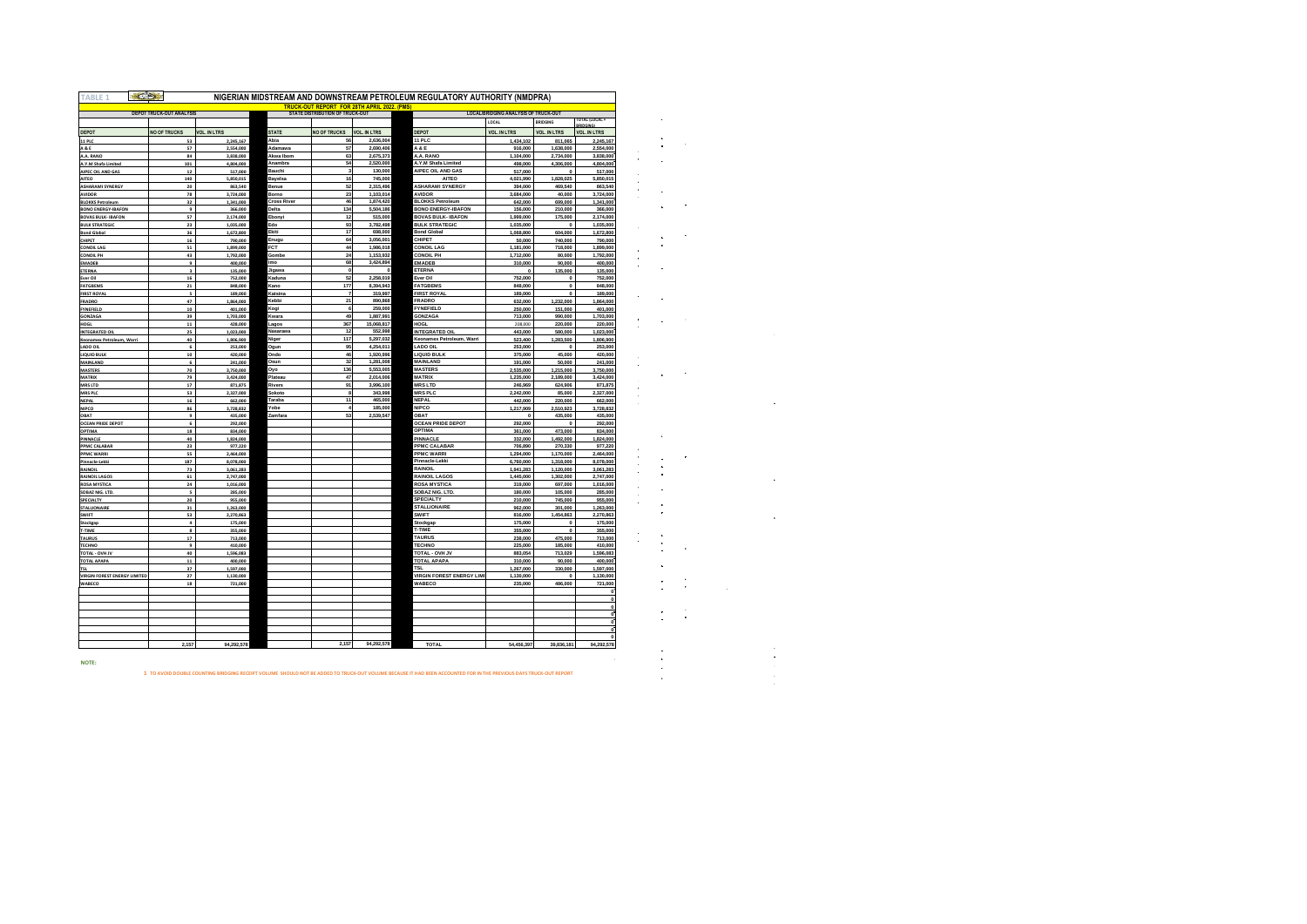| <b>FABLE 1</b>                                     |                                 |                        |                    |                                                                                      |                        | NIGERIAN MIDSTREAM AND DOWNSTREAM PETROLEUM REGULATORY AUTHORITY (NMDPRA) |                                      |                           |                        |
|----------------------------------------------------|---------------------------------|------------------------|--------------------|--------------------------------------------------------------------------------------|------------------------|---------------------------------------------------------------------------|--------------------------------------|---------------------------|------------------------|
|                                                    | <b>DEPOT TRUCK-OUT ANALYSIS</b> |                        |                    | <b>TRUCK-OUT REPORT FOR 28TH APRIL 2022. (PMS</b><br>STATE DISTRIBUTION OF TRUCK-OUT |                        |                                                                           | LOCAL/BRIDGING ANALYSIS OF TRUCK-OUT |                           |                        |
|                                                    |                                 |                        |                    |                                                                                      |                        |                                                                           | LOCAL                                | <b>BRIDGING</b>           | <b>TOTAL (LOCAL)</b>   |
| DEPOT                                              | <b>NO OF TRUCKS</b>             | <b>VOL. IN LTRS</b>    | <b>STATE</b>       | <b>NO OF TRUCKS</b>                                                                  | <b>VOL. IN LTRS</b>    | DEPOT                                                                     | <b>VOL. IN LTRS</b>                  | <b>VOL. IN LTRS</b>       | <b>VOL. IN LTRS</b>    |
| <b>11 PLC</b>                                      | 53                              | 2.245.167              | Abia               | 56                                                                                   | 2.636.004              | 11 PLC                                                                    | 1,434.102                            | 811.065                   | 2.245.16               |
| <b>A&amp;E</b>                                     | 57                              | 2,554,000              | Adamawa            | 57                                                                                   | 2,690,406              | A & E                                                                     | 916,000                              | 1,638,000                 | 2,554,000              |
| A.A. RANC                                          | 84                              | 3,838,000              | Akwa Ibom          | 63                                                                                   | 2,675,373              | A.A. RANO                                                                 | 1,104,000                            | 2,734,000                 | 3,838,000              |
| A.Y.M Shafa Limited                                | 101                             | 4,804,000              | Anambra            | 54                                                                                   | 2,520,000              | A.Y.M Shafa Limited                                                       | 498,000                              | 4,306,000                 | 4,804,000              |
| AIPEC OIL AND GAS                                  | $\bf{12}$                       | 517,000                | Bauchi             | $\mathbf{3}$                                                                         | 130,000                | AIPEC OIL AND GAS                                                         | 517,000                              | $\mathbf{0}$              | 517,000                |
| AITEO<br><b>ASHARAMI SYNERGY</b>                   | 140<br>20                       | 5,850,015<br>863,540   | Bayelsa<br>Benue   | $16\,$<br>52                                                                         | 745,000<br>2,315,496   | AITEC<br><b>ASHARAMI SYNERGY</b>                                          | 4,021,990<br>394,000                 | 1,828,025<br>469,540      | 5,850,015<br>863,540   |
| AVIDOR                                             | 78                              | 3.724.000              | Borno              | 23                                                                                   | 1,103,014              | AVIDOR                                                                    | 3,684,000                            | 40,000                    | 3,724,000              |
| <b>BLOKKS Petroleum</b>                            | 32                              | 1,341,000              | <b>Cross River</b> | 46                                                                                   | 1,874,420              | <b>BLOKKS Petroleum</b>                                                   | 642,000                              | 699,000                   | 1,341,000              |
| <b>BONO ENERGY-IBAFON</b>                          | 9                               | 366,000                | Delta              | 134                                                                                  | 5,504,186              | <b>BONO ENERGY-IBAFON</b>                                                 | 156,000                              | 210,000                   | 366,000                |
| <b>BOVAS BULK- IBAFON</b>                          | 57                              | 2,174,000              | Ebonyi             | $12$                                                                                 | 515,000                | <b>BOVAS BULK-IBAFON</b>                                                  | 1,999,000                            | 175,000                   | 2,174,000              |
| <b>BULK STRATEGIC</b>                              | 23<br>36                        | 1,035,000<br>1,672,800 | Edo<br>Ekiti       | 93<br>$17\,$                                                                         | 3,782,498<br>698,000   | <b>BULK STRATEGIC</b><br><b>Bond Global</b>                               | 1,035,000<br>1,068,800               | $\Omega$<br>604,000       | 1,035,000              |
| <b>Bond Global</b><br>CHIPET                       | 16                              | 790,000                | Enugu              | 64                                                                                   | 3,056,001              | CHIPET                                                                    | 50,000                               | 740,000                   | 1,672,800<br>790,000   |
| <b>CONOIL LAG</b>                                  | 51                              | 1,899,000              | FCT                | 44                                                                                   | 1,986,018              | <b>CONOIL LAG</b>                                                         | 1,181,000                            | 718,000                   | 1,899,000              |
| <b>CONOIL PH</b>                                   | 43                              | 1,792,000              | Gombe              | 24                                                                                   | 1,153,932              | <b>CONOIL PH</b>                                                          | 1,712,000                            | 80,000                    | 1,792,000              |
| EMADEB                                             | $\overline{9}$                  | 400,000                | mo                 | 68                                                                                   | 3,424,894              | <b>EMADEB</b>                                                             | 310,000                              | 90,000                    | 400,000                |
| ETERNA                                             | $\overline{\mathbf{3}}$         | 135,000                | Jigawa             | $\Omega$                                                                             |                        | ETERNA                                                                    | $\mathbf 0$                          | 135,000                   | 135,000                |
| Ever Oil<br><b>FATGBEMS</b>                        | 16<br>$\mathbf{21}$             | 752,000<br>848,000     | Kaduna<br>Kano     | 52<br>177                                                                            | 2,258,019<br>8.394.943 | Ever Oil<br><b>FATGBEMS</b>                                               | 752,000<br>848,000                   | $\mathbf{0}$<br>$\pmb{0}$ | 752,000<br>848,000     |
| <b>FIRST ROYAL</b>                                 | 5                               | 189,000                | Katsina            | $\overline{7}$                                                                       | 319,997                | <b>FIRST ROYAL</b>                                                        | 189,000                              | $\mathbf 0$               | 189,000                |
| <b>FRADRO</b>                                      | $47\,$                          | 1,864,000              | Kebbi              | 21                                                                                   | 890,868                | <b>FRADRO</b>                                                             | 632,000                              | 1,232,000                 | 1,864,000              |
| <b>FYNEFIELD</b>                                   | 10                              | 401,000                | Kogi               | 6                                                                                    | 259,000                | FYNEFIELD                                                                 | 250,000                              | 151,000                   | 401,000                |
| GONZAGA                                            | 39                              | 1,703,000              | Kwara              | 49                                                                                   | 1.887.991              | GONZAGA                                                                   | 713,000                              | 990,000                   | 1,703,000              |
| HOGL                                               | $\bf{11}$                       | 428,000                | Lagos<br>Nasarawa  | 367<br>12                                                                            | 15,068,817<br>552,998  | HOGL                                                                      | 208,000                              | 220,000                   | 220,000                |
| <b>INTEGRATED OIL</b><br>Keonamex Petroleum, Warri | 25<br>40                        | 1.023.000<br>1,806,900 | Niger              | 117                                                                                  | 5.297.032              | <b>INTEGRATED OIL</b><br>Keonamex Petroleum, Warri                        | 443,000<br>523,400                   | 580,000<br>1,283,500      | 1,023,000<br>1,806,90  |
| LADO OIL                                           | 6                               | 253,000                | Ogun               | 95                                                                                   | 4.254.011              | <b>ILO ODA</b>                                                            | 253,000                              | $\overline{0}$            | 253,000                |
| LIQUID BULK                                        | ${\bf 10}$                      | 420,000                | Ondo               | 46                                                                                   | 1,920,996              | LIQUID BULK                                                               | 375,000                              | 45,000                    | 420,000                |
| MAINLAND                                           | 6                               | 241,000                | Osun               | 32                                                                                   | 1,281,008              | MAINLAND                                                                  | 191,000                              | 50,000                    | 241,000                |
| <b>MASTERS</b>                                     | 70                              | 3,750,000              | Oyo                | 136                                                                                  | 5,553,005              | <b>MASTERS</b>                                                            | 2,535,000                            | 1,215,000                 | 3,750,000              |
| <b>MATRIX</b>                                      | 79                              | 3,424,000              | Plateau<br>Rivers  | 47<br>91                                                                             | 2.014.006<br>3.996.100 | <b>MATRIX</b><br><b>MRSLTD</b>                                            | 1,235,000                            | 2,189,000                 | 3,424,000              |
| <b>MRS LTD</b><br><b>MRS PLC</b>                   | $17\,$<br>53                    | 871,875<br>2,327,000   | Sokoto             | $\mathbf{a}$                                                                         | 343,998                | MRS PLC                                                                   | 246,969<br>2,242,000                 | 624,906<br>85,000         | 871,87<br>2,327,000    |
| NEPAL                                              | ${\bf 16}$                      | 662,000                | Taraha             | 11                                                                                   | 465,000                | NEPAL                                                                     | 442,000                              | 220,000                   | 662,000                |
| NIPCO                                              | 86                              | 3,728,832              | Yohe               | $\ddot{4}$                                                                           | 185,000                | NIPCO                                                                     | 1,217,909                            | 2,510,923                 | 3,728,83               |
| OBAT                                               | $\mathbf{9}$                    | 435,000                | Zamfara            | 53                                                                                   | 2,539,547              | ORAT                                                                      | $\Omega$                             | 435,000                   | 435,000                |
| <b>OCEAN PRIDE DEPOT</b>                           | $\epsilon$                      | 292,000                |                    |                                                                                      |                        | <b>OCEAN PRIDE DEPOT</b>                                                  | 292,000                              | $\Omega$                  | 292,000                |
| OPTIMA                                             | $\bf 18$<br>40                  | 834,000<br>1,824,000   |                    |                                                                                      |                        | OPTIMA<br>PINNACLE                                                        | 361,000<br>332,000                   | 473,000<br>1,492,000      | 834,000<br>1,824,000   |
| PINNACLE<br>PPMC CALABAR                           | 23                              | 977,220                |                    |                                                                                      |                        | <b>PPMC CALABAR</b>                                                       | 706,890                              | 270,330                   | 977,220                |
| <b>PPMC WARRI</b>                                  | 55                              | 2,464,000              |                    |                                                                                      |                        | PPMC WARRI                                                                | 1,294,000                            | 1,170,000                 | 2,464,000              |
| Pinnacle-Lekki                                     | 187                             | 8,078,000              |                    |                                                                                      |                        | Pinnacle-Lekki                                                            | 6.760.000                            | 1,318,000                 | 8,078,000              |
| <b>RAINOIL</b>                                     | 73                              | 3,061,283              |                    |                                                                                      |                        | RAINOIL                                                                   | 1.941.283                            | 1,120,000                 | 3,061,283              |
| <b>RAINOIL LAGOS</b>                               | 61<br>24                        | 2,747,000              |                    |                                                                                      |                        | <b>RAINOIL LAGOS</b><br><b>ROSA MYSTICA</b>                               | 1,445,000<br>319,000                 | 1,302,000<br>697.000      | 2,747,000<br>1.016.000 |
| <b>ROSA MYSTICA</b><br>SOBAZ NIG. LTD.             |                                 | 1,016,000<br>285,000   |                    |                                                                                      |                        | SOBAZ NIG. LTD.                                                           | 180,000                              | 105,000                   | 285,000                |
| SPECIALTY                                          | 20                              | 955,000                |                    |                                                                                      |                        | SPECIAL TY                                                                | 210,000                              | 745,000                   | 955,000                |
| STALLIONAIRE                                       | 31                              | 1,263,000              |                    |                                                                                      |                        | <b>STALLIONAIRE</b>                                                       | 962,000                              | 301,000                   | 1,263,000              |
| SWIFT                                              | 53                              | 2.270.863              |                    |                                                                                      |                        | SWIFT                                                                     | 816,000                              | 1,454,863                 | 2,270,86               |
| Stockgap                                           | $\ddot{\phantom{a}}$            | 175,000                |                    |                                                                                      |                        | Stockgap                                                                  | 175,000                              | $\Omega$                  | 175,000                |
| <b>T.TIME</b><br>TAURUS                            | $\mathbf{R}$<br>17              | 355,000                |                    |                                                                                      |                        | <b>T-TIMF</b><br>TAURUS                                                   | 355,000<br>238,000                   | $\Omega$                  | 355,000                |
| <b>TECHNO</b>                                      | $\mathbf{q}$                    | 713,000<br>410,000     |                    |                                                                                      |                        | TECHNO                                                                    | 225,000                              | 475,000<br>185,000        | 713,000<br>410,000     |
| TOTAL - OVH JV                                     | 4n                              | 1,596,083              |                    |                                                                                      |                        | <b>TOTAL - OVH JV</b>                                                     | 883,054                              | 713,029                   | 1,596,08               |
| <b>TOTAL APAPA</b>                                 | 11                              | 400.000                |                    |                                                                                      |                        | TOTAL APAPA                                                               | 310,000                              | 90,000                    | 400.00                 |
|                                                    | 37                              | 1.597.000              |                    |                                                                                      |                        | <b>TSL</b>                                                                | 1,267,000                            | 330,000                   | 1,597,000              |
| <b>VIRGIN FOREST ENERGY LIMITED</b>                | $\overline{27}$                 | 1,130,000              |                    |                                                                                      |                        | <b>VIRGIN FOREST ENERGY LIMI</b>                                          | 1.130.000                            | $\sqrt{2}$                | 1,130,000              |
| WABECO                                             | 18                              | 721,000                |                    |                                                                                      |                        | WABECO                                                                    | 235,000                              | 486,000                   | 721,000                |
|                                                    |                                 |                        |                    |                                                                                      |                        |                                                                           |                                      |                           |                        |
|                                                    |                                 |                        |                    |                                                                                      |                        |                                                                           |                                      |                           |                        |
|                                                    |                                 |                        |                    |                                                                                      |                        |                                                                           |                                      |                           |                        |
|                                                    |                                 |                        |                    |                                                                                      |                        |                                                                           |                                      |                           |                        |
|                                                    |                                 |                        |                    |                                                                                      |                        |                                                                           |                                      |                           |                        |
|                                                    | 2.157                           | 94,292,578             |                    | 2,157                                                                                | 94,292,578             | <b>TOTAL</b>                                                              | 54,456,397                           | 39,836,181                | 94.292.578             |
|                                                    |                                 |                        |                    |                                                                                      |                        |                                                                           |                                      |                           |                        |

**1 TO AVOID DOUBLE COUNTING BRIDGING RECEIPT VOLUME SHOULD NOT BE ADDED TO TRUCK-OUT VOLUME BECAUSE IT HAD BEEN ACCOUNTED FOR IN THE PREVIOUS DAYS TRUCK-OUT REPORT**

 $\label{eq:2.1} \frac{1}{\sqrt{2}}\int_{\mathbb{R}^3}\frac{1}{\sqrt{2}}\left(\frac{1}{\sqrt{2}}\right)^2\frac{1}{\sqrt{2}}\left(\frac{1}{\sqrt{2}}\right)^2\frac{1}{\sqrt{2}}\left(\frac{1}{\sqrt{2}}\right)^2\frac{1}{\sqrt{2}}\left(\frac{1}{\sqrt{2}}\right)^2.$ 

 $\sim 10^7$ 

 $\mathcal{L}_{\text{max}}$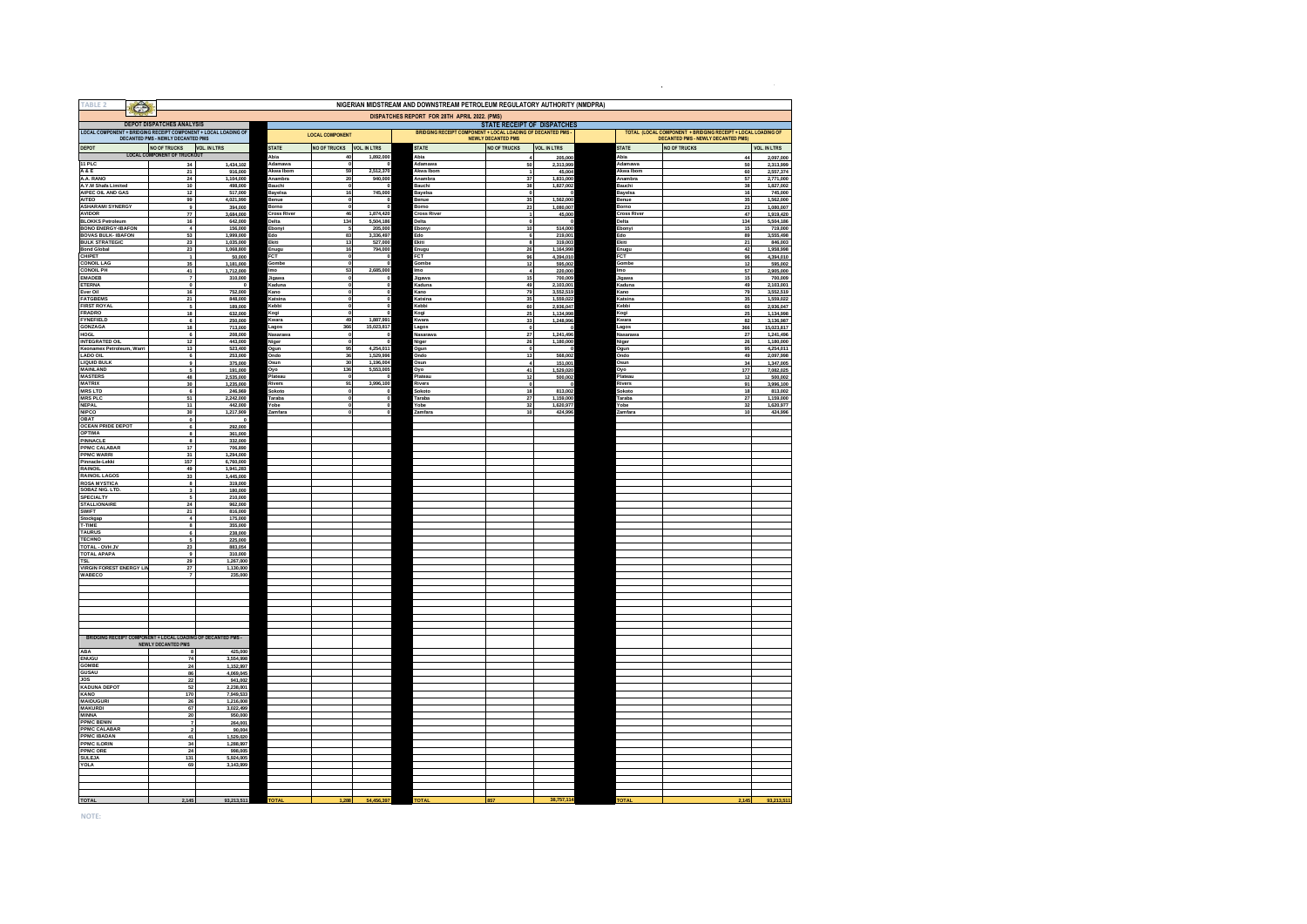| rable                                                        |                                                                                                      |                        |                             |                        |                         | NIGERIAN MIDSTREAM AND DOWNSTREAM PETROLEUM REGULATORY AUTHORITY (NMDPRA) |                                                                                          |                        |                               |                                                                                                   |                         |
|--------------------------------------------------------------|------------------------------------------------------------------------------------------------------|------------------------|-----------------------------|------------------------|-------------------------|---------------------------------------------------------------------------|------------------------------------------------------------------------------------------|------------------------|-------------------------------|---------------------------------------------------------------------------------------------------|-------------------------|
|                                                              |                                                                                                      |                        |                             |                        |                         | DISPATCHES REPORT FOR 28TH APRIL 2022. (PMS)                              |                                                                                          |                        |                               |                                                                                                   |                         |
|                                                              | <b>DEPOT DISPATCHES ANALYSIS</b>                                                                     |                        |                             |                        |                         |                                                                           | <b>STATE RECEIPT OF DISPATCHES</b>                                                       |                        |                               |                                                                                                   |                         |
|                                                              | LOCAL COMPONENT + BRIDGING RECEIPT COMPONENT + LOCAL LOADING OF<br>DECANTED PMS - NEWLY DECANTED PMS |                        |                             | <b>LOCAL COMPONENT</b> |                         |                                                                           | BRIDGING RECEIPT COMPONENT + LOCAL LOADING OF DECANTED PMS-<br><b>NEWLY DECANTED PMS</b> |                        |                               | TOTAL (LOCAL COMPONENT + BRIDGING RECEIPT + LOCAL LOADING OF<br>DECANTED PMS - NEWLY DECANTED PMS |                         |
| DEPOT                                                        | NO OF TRUCKS VOL                                                                                     | VOL. IN LTRS           | <b>STATE</b>                | <b>NO OF TRUCKS</b>    | <b>VOL. IN LTRS</b>     | STATE                                                                     | <b>NO OF TRUCKS</b>                                                                      | <b>VOL. IN LTRS</b>    | <b>STATE</b>                  | <b>NO OF TRUCKS</b>                                                                               | <b>VOL. IN LTRS</b>     |
| 11 PLC                                                       | 34                                                                                                   | 1,434,102              | Abia<br>Adamawa             | 40                     | 1,892,000               | Abia<br>Adamawa                                                           | 50                                                                                       | 205,000<br>2.313.999   | Abia<br>Adamawa               | 44<br>50                                                                                          | 2.097.000<br>2,313,999  |
| A&E                                                          | 21                                                                                                   | 916,000                | Akwa Ibom                   | 59                     | 2,512,370               | Akwa Ibom                                                                 | 1                                                                                        | 45,004                 | Akwa Ibom                     | 60                                                                                                | 2,557,374               |
| A.A. RANO                                                    | 24                                                                                                   | 1.104.000              | Anambra                     | 20                     | 940,000                 | Anambra                                                                   | 37                                                                                       | 1,831,000              | Anambra                       | 57                                                                                                | 2,771,000               |
| A.Y.M Shafa Limited<br>AIPEC OIL AND GAS                     | 10 <sup>10</sup><br>12                                                                               | 498,000<br>517,000     | Bauchi<br>Bavelsa           | $\circ$<br>16          | 745,000                 | <b>Bauchi</b><br>Bavelsa                                                  | 38<br>$\Omega$                                                                           | 1,827,002              | Bauchi<br><b>Bavelsa</b>      | 38<br>16                                                                                          | 1,827,002<br>745,000    |
| <b>AITEO</b>                                                 | 99                                                                                                   | 4.021.990              | <b>Benue</b>                | $\circ$                |                         | Benue                                                                     | 35                                                                                       | 1.562.000              | Benue                         | 35                                                                                                | 1.562.000               |
| <b>ASHARAMI SYNERGY</b><br><b>AVIDOR</b>                     | $\overline{a}$                                                                                       | 394,000                | Borno<br><b>Cross River</b> | $\mathbf{a}$<br>46     | 1,874,420               | <b>Borno</b><br><b>Cross River</b>                                        | 23                                                                                       | 1,080,007              | <b>Borno</b><br>Cross River   | 23<br>47                                                                                          | 1,080,007               |
| <b>BLOKKS Petroleum</b>                                      | ${\bf 77}$<br>16                                                                                     | 3,684,000<br>642,000   | Delta                       | 134                    | 5,504,186               | Delta                                                                     | $\mathbf 0$                                                                              | 45,000                 | Delta                         | 134                                                                                               | 1,919,420<br>5,504,186  |
| <b>BONO ENERGY-IBAFON</b>                                    | $\overline{4}$                                                                                       | 156,000                | Ebonyi                      | 5                      | 205,000                 | Ebonyi                                                                    | 10                                                                                       | 514,000                | Ebonyi                        | 15                                                                                                | 719,000                 |
| <b>BOVAS BULK-IBAFON</b><br><b>BULK STRATEGIC</b>            | 53                                                                                                   | 1,999,000              | Edo<br>Ekiti                | 83<br>13               | 3,336,497<br>527,000    | Edo<br>Ekiti                                                              | 6<br>8                                                                                   | 219,001<br>319,003     | Edo<br>Ekiti                  | 89<br>21                                                                                          | 3,555,498<br>846,003    |
| <b>Bond Global</b>                                           | 23<br>23                                                                                             | 1,035,000<br>1,068,800 | Enugu                       | 16                     | 794,000                 | Enugu                                                                     | 26                                                                                       | 1,164,998              | Enugu                         | 42                                                                                                | 1,958,998               |
| CHIPET                                                       | $\overline{1}$                                                                                       | 50,000                 | <b>FCT</b>                  | $\Omega$               |                         | <b>FCT</b>                                                                | 96                                                                                       | 4,394,010              | FCT                           | 96                                                                                                | 4,394,010               |
| <b>CONOIL LAG</b><br><b>CONOIL PH</b>                        | 35<br>41                                                                                             | 1,181,000<br>1,712,000 | Gombe<br>mo                 | 53                     | 2,685,000               | Gombe<br>lmo                                                              | 12<br>$\ddot{a}$                                                                         | 595,002<br>220,000     | Gombe<br>lmo                  | 12<br>57                                                                                          | 595,002<br>2,905,000    |
| <b>EMADEB</b>                                                | $\overline{7}$                                                                                       | 310,000                | Jigawa                      |                        |                         | Jigawa                                                                    | 15                                                                                       | 700,009                | Jigawa                        | 15                                                                                                | 700,009                 |
| <b>ETERNA</b>                                                | $\overline{\mathbf{0}}$                                                                              |                        | Kaduna                      |                        |                         | Kaduna                                                                    | 49                                                                                       | 2,103,001              | Kaduna                        | 49                                                                                                | 2,103,001               |
| Ever Oil<br><b>FATGBEMS</b>                                  | 16<br>21                                                                                             | 752,000<br>848,000     | Kano<br>Katsina             |                        |                         | Kano<br>Katsina                                                           | 79<br>35                                                                                 | 3,552,519<br>1,559,022 | Kano<br>Katsina               | 79<br>35                                                                                          | 3,552,519<br>1,559,022  |
| <b>FIRST ROYAL</b>                                           |                                                                                                      | 189,000                | Kebbi                       |                        |                         | Kebbi                                                                     | 60                                                                                       | 2,936,047              | Kebbi                         | 60                                                                                                | 2,936,047               |
| <b>FRADRO</b>                                                | 18                                                                                                   | 632,000                | Kogi                        |                        |                         | Kogi                                                                      | 25                                                                                       | 1,134,998              | Kogi                          | 25                                                                                                | 1,134,998               |
| <b>FYNEFIELD</b><br><b>GONZAGA</b>                           | $\overline{6}$<br>18                                                                                 | 250,000<br>713,000     | (wara<br>Lagos              | 49<br>366              | 1,887,991<br>15,023,817 | Kwara<br>Lagos                                                            | 33<br>$\pmb{\mathfrak{g}}$                                                               | 1,248,996              | <b>Kwara</b><br>Lagos         | 82<br>366                                                                                         | 3,136,987<br>15,023,817 |
| HOGL                                                         | 6                                                                                                    | 208,000                | Nasarawa                    |                        |                         | Vasaraw                                                                   | 27                                                                                       | 1,241,496              | Nasarawa                      | 27                                                                                                | 1,241,496               |
| <b>INTEGRATED OIL</b>                                        | $12$                                                                                                 | 443,000                | Niger                       |                        |                         | Niger                                                                     | 26                                                                                       | 1,180,000              | Niger                         | 26                                                                                                | 1,180,000               |
| Keonamex Petroleum, Warri<br><b>LADO OIL</b>                 | 13<br>6                                                                                              | 523,400<br>253,000     | Ogun<br>Ondo                | 95<br>36               | 4,254,011<br>1,529,996  | Ogun<br>Ondo                                                              | $\mathbf 0$<br>13                                                                        | 568,002                | Ogun<br>Ondo                  | 95<br>49                                                                                          | 4,254,011<br>2,097,998  |
| <b>LIQUID BULK</b>                                           | 9                                                                                                    | 375,000                | Dsun                        | 30                     | 1,196,004               | Osun                                                                      | $\overline{\mathbf{4}}$                                                                  | 151,001                | Osun                          | 34                                                                                                | 1,347,005               |
| <b>MAINLAND</b><br><b>MASTERS</b>                            | $\overline{\phantom{a}}$                                                                             | 191,000                | Oyo<br>lateau               | 136                    | 5,553,005               | Oyo                                                                       | 41                                                                                       | 1,529,020              | Oyo                           | 177                                                                                               | 7,082,025               |
| <b>MATRIX</b>                                                | 48<br>30                                                                                             | 2.535.000<br>1.235.000 | Rivers                      | 91                     | 3,996,100               | Plateau<br>Rivers                                                         | 12<br>$\overline{\mathbf{0}}$                                                            | 500,002                | <sup>2</sup> lateau<br>Rivers | 12<br>91                                                                                          | 500.002<br>3,996,100    |
| <b>MRSLTD</b>                                                | 6                                                                                                    | 246,969                | Sokoto                      |                        |                         | Sokoto                                                                    | 18                                                                                       | 813,002                | Sokoto                        | 18                                                                                                | 813,002                 |
| <b>MRS PLC</b><br><b>NEPAL</b>                               | 51<br>11                                                                                             | 2,242,000<br>442,000   | Taraba<br>Yobe              |                        |                         | Taraba<br>Yobe                                                            | 27<br>32                                                                                 | 1.159,000<br>1.620.977 | Taraba<br>Yobe                | 27<br>32                                                                                          | 1.159.000<br>1,620,977  |
| <b>NIPCO</b>                                                 | 30                                                                                                   | 1,217,909              | Zamfara                     |                        |                         | Zamfara                                                                   | 10                                                                                       | 424,996                | Zamfara                       | 10                                                                                                | 424,996                 |
| OBAT                                                         | $\Omega$                                                                                             | -0                     |                             |                        |                         |                                                                           |                                                                                          |                        |                               |                                                                                                   |                         |
| <b>OCEAN PRIDE DEPOT</b><br><b>OPTIMA</b>                    | 6<br>$\mathbf{R}$                                                                                    | 292,000<br>361,000     |                             |                        |                         |                                                                           |                                                                                          |                        |                               |                                                                                                   |                         |
| PINNACI F                                                    | $\mathbf{R}$                                                                                         | 332,000                |                             |                        |                         |                                                                           |                                                                                          |                        |                               |                                                                                                   |                         |
| <b>PPMC CALABAR</b>                                          | 17                                                                                                   | 706,890                |                             |                        |                         |                                                                           |                                                                                          |                        |                               |                                                                                                   |                         |
| <b>PPMC WARRI</b><br>Pinnacle-Lekki                          | 31<br>157                                                                                            | 1,294,000<br>6,760,000 |                             |                        |                         |                                                                           |                                                                                          |                        |                               |                                                                                                   |                         |
| <b>RAINOIL</b>                                               | 49                                                                                                   | 1,941,283              |                             |                        |                         |                                                                           |                                                                                          |                        |                               |                                                                                                   |                         |
| <b>RAINOIL LAGOS</b>                                         | 33                                                                                                   | 1,445,000              |                             |                        |                         |                                                                           |                                                                                          |                        |                               |                                                                                                   |                         |
| <b>ROSA MYSTICA</b><br>SOBAZ NIG. LTD.                       | 8<br>$\mathbf{3}$                                                                                    | 319,000<br>180,000     |                             |                        |                         |                                                                           |                                                                                          |                        |                               |                                                                                                   |                         |
| <b>SPECIALTY</b>                                             |                                                                                                      | 210,000                |                             |                        |                         |                                                                           |                                                                                          |                        |                               |                                                                                                   |                         |
| <b>STALLIONAIRE</b><br><b>SWIFT</b>                          | 24<br>21                                                                                             | 962,000                |                             |                        |                         |                                                                           |                                                                                          |                        |                               |                                                                                                   |                         |
| Stockgap                                                     | $\overline{a}$                                                                                       | 816,000<br>175,000     |                             |                        |                         |                                                                           |                                                                                          |                        |                               |                                                                                                   |                         |
| T-TIME                                                       | 8                                                                                                    | 355,000                |                             |                        |                         |                                                                           |                                                                                          |                        |                               |                                                                                                   |                         |
| <b>TAURUS</b><br><b>TECHNO</b>                               | $\overline{6}$                                                                                       | 238,000<br>225,000     |                             |                        |                         |                                                                           |                                                                                          |                        |                               |                                                                                                   |                         |
| TOTAL - OVH JV                                               | 23                                                                                                   | 883,054                |                             |                        |                         |                                                                           |                                                                                          |                        |                               |                                                                                                   |                         |
| <b>TOTAL APAPA</b>                                           | $\overline{9}$                                                                                       | 310,000                |                             |                        |                         |                                                                           |                                                                                          |                        |                               |                                                                                                   |                         |
| <b>TSL</b><br><b>VIRGIN FOREST ENERGY LIM</b>                | 29<br>$\mathbf{27}$                                                                                  | 1,267,000<br>1,130,000 |                             |                        |                         |                                                                           |                                                                                          |                        |                               |                                                                                                   |                         |
| WABECO                                                       |                                                                                                      | 235,000                |                             |                        |                         |                                                                           |                                                                                          |                        |                               |                                                                                                   |                         |
|                                                              |                                                                                                      |                        |                             |                        |                         |                                                                           |                                                                                          |                        |                               |                                                                                                   |                         |
|                                                              |                                                                                                      |                        |                             |                        |                         |                                                                           |                                                                                          |                        |                               |                                                                                                   |                         |
|                                                              |                                                                                                      |                        |                             |                        |                         |                                                                           |                                                                                          |                        |                               |                                                                                                   |                         |
|                                                              |                                                                                                      |                        |                             |                        |                         |                                                                           |                                                                                          |                        |                               |                                                                                                   |                         |
|                                                              |                                                                                                      |                        |                             |                        |                         |                                                                           |                                                                                          |                        |                               |                                                                                                   |                         |
| BRIDGING RECEIPT COMPONENT + LOCAL LOADING OF DECANTED PMS - |                                                                                                      |                        |                             |                        |                         |                                                                           |                                                                                          |                        |                               |                                                                                                   |                         |
|                                                              | <b>NEWLY DECANTED PMS</b>                                                                            |                        |                             |                        |                         |                                                                           |                                                                                          |                        |                               |                                                                                                   |                         |
| ABA                                                          |                                                                                                      | 425,000                |                             |                        |                         |                                                                           |                                                                                          |                        |                               |                                                                                                   |                         |
| <b>ENUGU</b><br><b>GOMBE</b>                                 | 74<br>24                                                                                             | 3,554,998<br>1,152,997 |                             |                        |                         |                                                                           |                                                                                          |                        |                               |                                                                                                   |                         |
| GUSAU                                                        | 86                                                                                                   | 4,069,045              |                             |                        |                         |                                                                           |                                                                                          |                        |                               |                                                                                                   |                         |
| JOS                                                          | 22                                                                                                   | 941,002                |                             |                        |                         |                                                                           |                                                                                          |                        |                               |                                                                                                   |                         |
| <b>KADUNA DEPOT</b><br>KANO                                  | 52<br>170                                                                                            | 2,238,001<br>7,949,533 |                             |                        |                         |                                                                           |                                                                                          |                        |                               |                                                                                                   |                         |
| <b>MAIDUGURI</b>                                             | 26                                                                                                   | 1,216,008              |                             |                        |                         |                                                                           |                                                                                          |                        |                               |                                                                                                   |                         |
| <b>MAKURDI</b>                                               | 67                                                                                                   | 3,022,499              |                             |                        |                         |                                                                           |                                                                                          |                        |                               |                                                                                                   |                         |
| <b>MINNA</b><br><b>PPMC BENIN</b>                            | 20                                                                                                   | 950,000<br>264,001     |                             |                        |                         |                                                                           |                                                                                          |                        |                               |                                                                                                   |                         |
| <b>PPMC CALABAR</b>                                          |                                                                                                      | 90,004                 |                             |                        |                         |                                                                           |                                                                                          |                        |                               |                                                                                                   |                         |
| <b>PPMC IBADAN</b>                                           | 41                                                                                                   | 1,529,020              |                             |                        |                         |                                                                           |                                                                                          |                        |                               |                                                                                                   |                         |
| <b>PPMC ILORIN</b><br><b>PPMC ORE</b>                        | 34<br>24                                                                                             | 1,288,997<br>998,005   |                             |                        |                         |                                                                           |                                                                                          |                        |                               |                                                                                                   |                         |
| <b>SULEJA</b>                                                | 131                                                                                                  | 5.924.005              |                             |                        |                         |                                                                           |                                                                                          |                        |                               |                                                                                                   |                         |
| <b>YOLA</b>                                                  | 69                                                                                                   | 3,143,999              |                             |                        |                         |                                                                           |                                                                                          |                        |                               |                                                                                                   |                         |
|                                                              |                                                                                                      |                        |                             |                        |                         |                                                                           |                                                                                          |                        |                               |                                                                                                   |                         |
|                                                              |                                                                                                      |                        |                             |                        |                         |                                                                           |                                                                                          |                        |                               |                                                                                                   |                         |
|                                                              |                                                                                                      |                        |                             |                        |                         |                                                                           |                                                                                          |                        |                               |                                                                                                   |                         |

 $\mathcal{L}^{\mathcal{L}}(\mathcal{L}^{\mathcal{L}})$  . The contribution of the contribution of the contribution of  $\mathcal{L}^{\mathcal{L}}$ 

**TOTAL 2,145 93,213,511 TOTAL 1,288 54,456,397 TOTAL 857 38,757,114 TOTAL 2,145 93,213,511**